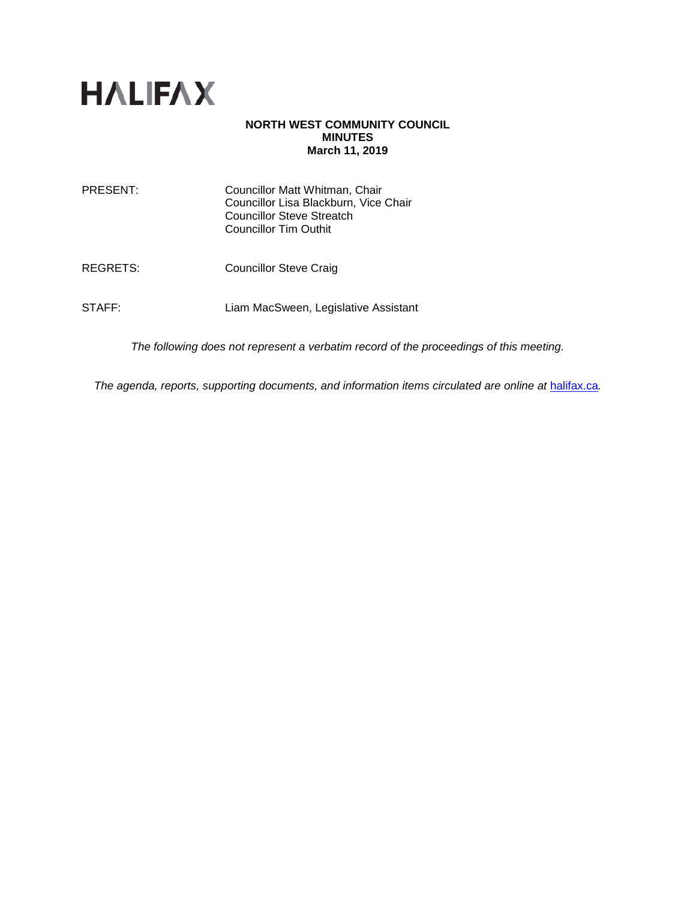

# **NORTH WEST COMMUNITY COUNCIL MINUTES March 11, 2019**

| PRESENT: | Councillor Matt Whitman, Chair<br>Councillor Lisa Blackburn, Vice Chair<br><b>Councillor Steve Streatch</b><br>Councillor Tim Outhit |
|----------|--------------------------------------------------------------------------------------------------------------------------------------|
| REGRETS: | <b>Councillor Steve Craig</b>                                                                                                        |
| STAFF:   | Liam MacSween, Legislative Assistant                                                                                                 |

*The following does not represent a verbatim record of the proceedings of this meeting.*

The agenda, reports, supporting documents, and information items circulated are online at **[halifax.ca](http://www.halifax.ca/)**.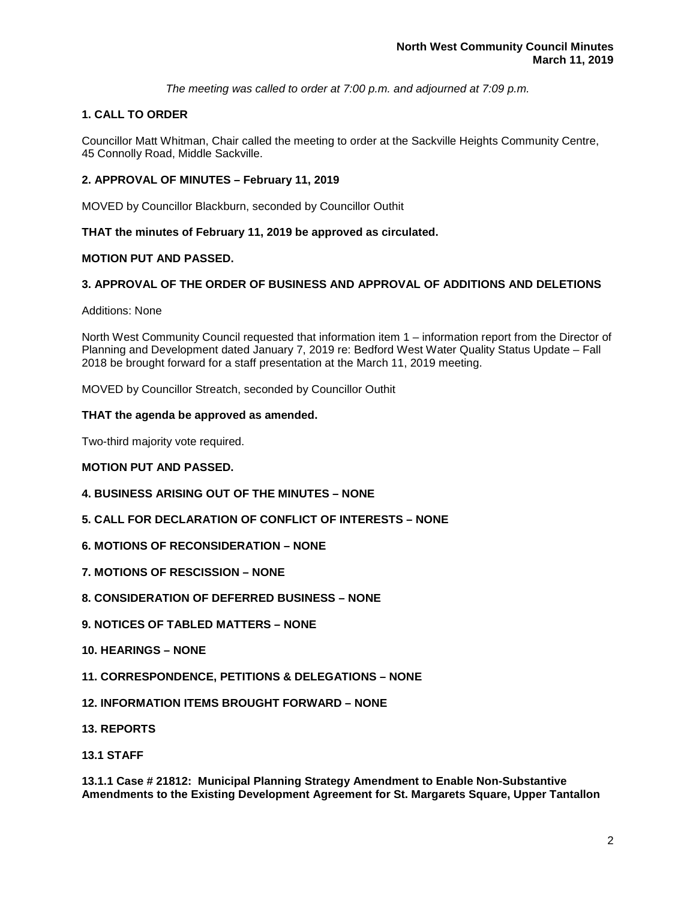*The meeting was called to order at 7:00 p.m. and adjourned at 7:09 p.m.*

# **1. CALL TO ORDER**

Councillor Matt Whitman, Chair called the meeting to order at the Sackville Heights Community Centre, 45 Connolly Road, Middle Sackville.

# **2. APPROVAL OF MINUTES – February 11, 2019**

MOVED by Councillor Blackburn, seconded by Councillor Outhit

**THAT the minutes of February 11, 2019 be approved as circulated.** 

# **MOTION PUT AND PASSED.**

# **3. APPROVAL OF THE ORDER OF BUSINESS AND APPROVAL OF ADDITIONS AND DELETIONS**

### Additions: None

North West Community Council requested that information item 1 – information report from the Director of Planning and Development dated January 7, 2019 re: Bedford West Water Quality Status Update – Fall 2018 be brought forward for a staff presentation at the March 11, 2019 meeting.

MOVED by Councillor Streatch, seconded by Councillor Outhit

### **THAT the agenda be approved as amended.**

Two-third majority vote required.

### **MOTION PUT AND PASSED.**

- **4. BUSINESS ARISING OUT OF THE MINUTES – NONE**
- **5. CALL FOR DECLARATION OF CONFLICT OF INTERESTS – NONE**
- **6. MOTIONS OF RECONSIDERATION – NONE**
- **7. MOTIONS OF RESCISSION – NONE**
- **8. CONSIDERATION OF DEFERRED BUSINESS – NONE**
- **9. NOTICES OF TABLED MATTERS – NONE**
- **10. HEARINGS – NONE**
- **11. CORRESPONDENCE, PETITIONS & DELEGATIONS – NONE**
- **12. INFORMATION ITEMS BROUGHT FORWARD – NONE**
- **13. REPORTS**
- **13.1 STAFF**

**13.1.1 Case # 21812: Municipal Planning Strategy Amendment to Enable Non-Substantive Amendments to the Existing Development Agreement for St. Margarets Square, Upper Tantallon**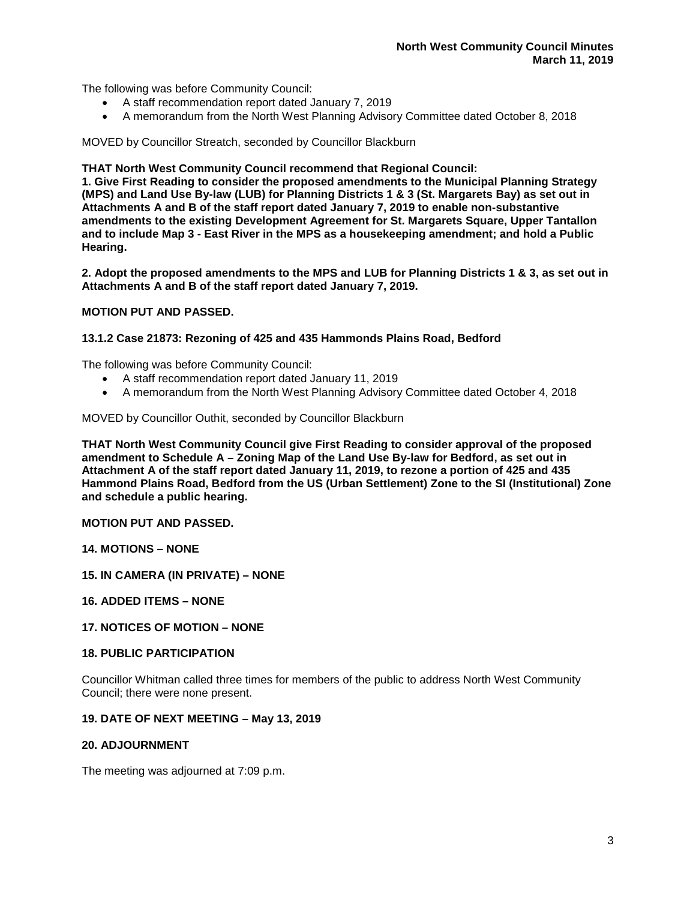The following was before Community Council:

- A staff recommendation report dated January 7, 2019
- A memorandum from the North West Planning Advisory Committee dated October 8, 2018

MOVED by Councillor Streatch, seconded by Councillor Blackburn

## **THAT North West Community Council recommend that Regional Council:**

**1. Give First Reading to consider the proposed amendments to the Municipal Planning Strategy (MPS) and Land Use By-law (LUB) for Planning Districts 1 & 3 (St. Margarets Bay) as set out in Attachments A and B of the staff report dated January 7, 2019 to enable non-substantive amendments to the existing Development Agreement for St. Margarets Square, Upper Tantallon and to include Map 3 - East River in the MPS as a housekeeping amendment; and hold a Public Hearing.**

**2. Adopt the proposed amendments to the MPS and LUB for Planning Districts 1 & 3, as set out in Attachments A and B of the staff report dated January 7, 2019.**

# **MOTION PUT AND PASSED.**

### **13.1.2 Case 21873: Rezoning of 425 and 435 Hammonds Plains Road, Bedford**

The following was before Community Council:

- A staff recommendation report dated January 11, 2019
- A memorandum from the North West Planning Advisory Committee dated October 4, 2018

MOVED by Councillor Outhit, seconded by Councillor Blackburn

**THAT North West Community Council give First Reading to consider approval of the proposed amendment to Schedule A – Zoning Map of the Land Use By-law for Bedford, as set out in Attachment A of the staff report dated January 11, 2019, to rezone a portion of 425 and 435 Hammond Plains Road, Bedford from the US (Urban Settlement) Zone to the SI (Institutional) Zone and schedule a public hearing.**

### **MOTION PUT AND PASSED.**

**14. MOTIONS – NONE** 

**15. IN CAMERA (IN PRIVATE) – NONE** 

- **16. ADDED ITEMS – NONE**
- **17. NOTICES OF MOTION – NONE**

### **18. PUBLIC PARTICIPATION**

Councillor Whitman called three times for members of the public to address North West Community Council; there were none present.

## **19. DATE OF NEXT MEETING – May 13, 2019**

## **20. ADJOURNMENT**

The meeting was adjourned at 7:09 p.m.